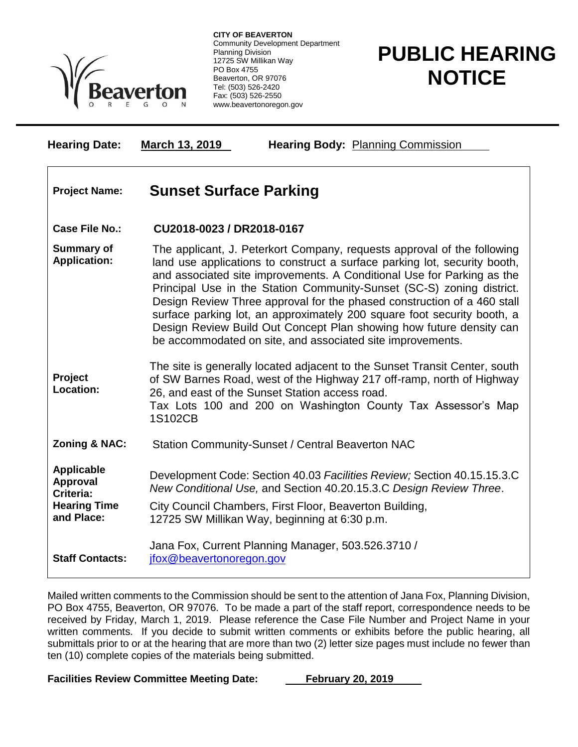

**CITY OF BEAVERTON** Community Development Department Planning Division 12725 SW Millikan Way PO Box 4755 Beaverton, OR 97076 Tel: (503) 526-2420 Fax: (503) 526-2550 www.beavertonoregon.gov

## **PUBLIC HEARING NOTICE**

| <b>Hearing Date:</b>                                                            | March 13, 2019<br><b>Hearing Body: Planning Commission</b>                                                                                                                                                                                                                                                                                                                                                                                                                                                                                                                                         |
|---------------------------------------------------------------------------------|----------------------------------------------------------------------------------------------------------------------------------------------------------------------------------------------------------------------------------------------------------------------------------------------------------------------------------------------------------------------------------------------------------------------------------------------------------------------------------------------------------------------------------------------------------------------------------------------------|
| <b>Project Name:</b>                                                            | <b>Sunset Surface Parking</b>                                                                                                                                                                                                                                                                                                                                                                                                                                                                                                                                                                      |
| Case File No.:                                                                  | CU2018-0023 / DR2018-0167                                                                                                                                                                                                                                                                                                                                                                                                                                                                                                                                                                          |
| <b>Summary of</b><br><b>Application:</b>                                        | The applicant, J. Peterkort Company, requests approval of the following<br>land use applications to construct a surface parking lot, security booth,<br>and associated site improvements. A Conditional Use for Parking as the<br>Principal Use in the Station Community-Sunset (SC-S) zoning district.<br>Design Review Three approval for the phased construction of a 460 stall<br>surface parking lot, an approximately 200 square foot security booth, a<br>Design Review Build Out Concept Plan showing how future density can<br>be accommodated on site, and associated site improvements. |
| Project<br>Location:                                                            | The site is generally located adjacent to the Sunset Transit Center, south<br>of SW Barnes Road, west of the Highway 217 off-ramp, north of Highway<br>26, and east of the Sunset Station access road.<br>Tax Lots 100 and 200 on Washington County Tax Assessor's Map<br>1S102CB                                                                                                                                                                                                                                                                                                                  |
| <b>Zoning &amp; NAC:</b>                                                        | Station Community-Sunset / Central Beaverton NAC                                                                                                                                                                                                                                                                                                                                                                                                                                                                                                                                                   |
| <b>Applicable</b><br>Approval<br>Criteria:<br><b>Hearing Time</b><br>and Place: | Development Code: Section 40.03 Facilities Review; Section 40.15.15.3.C<br>New Conditional Use, and Section 40.20.15.3.C Design Review Three.<br>City Council Chambers, First Floor, Beaverton Building,<br>12725 SW Millikan Way, beginning at 6:30 p.m.                                                                                                                                                                                                                                                                                                                                          |
| <b>Staff Contacts:</b>                                                          | Jana Fox, Current Planning Manager, 503.526.3710 /<br>jfox@beavertonoregon.gov                                                                                                                                                                                                                                                                                                                                                                                                                                                                                                                     |

Mailed written comments to the Commission should be sent to the attention of Jana Fox, Planning Division, PO Box 4755, Beaverton, OR 97076. To be made a part of the staff report, correspondence needs to be received by Friday, March 1, 2019. Please reference the Case File Number and Project Name in your written comments. If you decide to submit written comments or exhibits before the public hearing, all submittals prior to or at the hearing that are more than two (2) letter size pages must include no fewer than ten (10) complete copies of the materials being submitted.

Facilities Review Committee Meeting Date: February 20, 2019